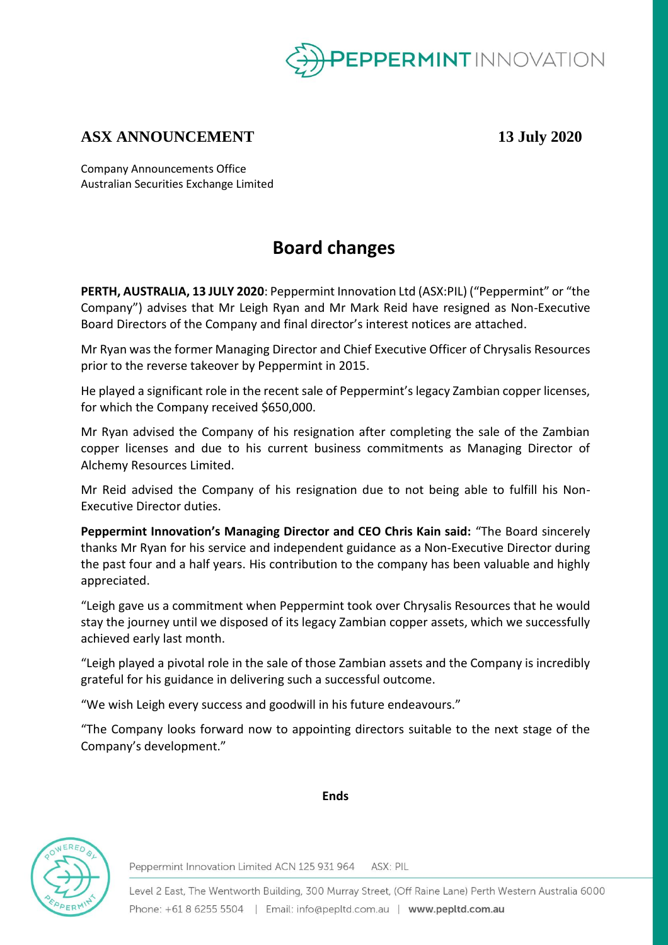

### **ASX ANNOUNCEMENT 13 July 2020**

Company Announcements Office Australian Securities Exchange Limited

## **Board changes**

**PERTH, AUSTRALIA, 13 JULY 2020**: Peppermint Innovation Ltd (ASX:PIL) ("Peppermint" or "the Company") advises that Mr Leigh Ryan and Mr Mark Reid have resigned as Non-Executive Board Directors of the Company and final director's interest notices are attached.

Mr Ryan was the former Managing Director and Chief Executive Officer of Chrysalis Resources prior to the reverse takeover by Peppermint in 2015.

He played a significant role in the recent sale of Peppermint's legacy Zambian copper licenses, for which the Company received \$650,000.

Mr Ryan advised the Company of his resignation after completing the sale of the Zambian copper licenses and due to his current business commitments as Managing Director of Alchemy Resources Limited.

Mr Reid advised the Company of his resignation due to not being able to fulfill his Non-Executive Director duties.

**Peppermint Innovation's Managing Director and CEO Chris Kain said:** "The Board sincerely thanks Mr Ryan for his service and independent guidance as a Non-Executive Director during the past four and a half years. His contribution to the company has been valuable and highly appreciated.

"Leigh gave us a commitment when Peppermint took over Chrysalis Resources that he would stay the journey until we disposed of its legacy Zambian copper assets, which we successfully achieved early last month.

"Leigh played a pivotal role in the sale of those Zambian assets and the Company is incredibly grateful for his guidance in delivering such a successful outcome.

"We wish Leigh every success and goodwill in his future endeavours."

"The Company looks forward now to appointing directors suitable to the next stage of the Company's development."



**Ends**

Peppermint Innovation Limited ACN 125 931 964 ASX: PIL

Level 2 East, The Wentworth Building, 300 Murray Street, (Off Raine Lane) Perth Western Australia 6000 Phone: +61 8 6255 5504 | Email: info@pepltd.com.au | www.pepltd.com.au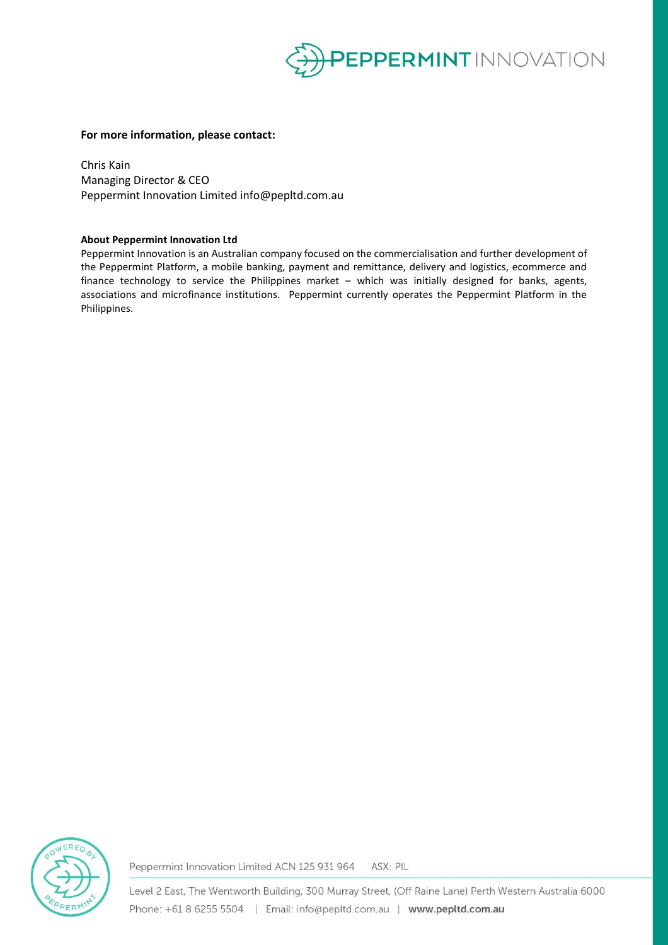

#### **For more information, please contact:**

Chris Kain Managing Director & CEO Peppermint Innovation Limited info@pepltd.com.au

#### **About Peppermint Innovation Ltd**

Peppermint Innovation is an Australian company focused on the commercialisation and further development of the Peppermint Platform, a mobile banking, payment and remittance, delivery and logistics, ecommerce and finance technology to service the Philippines market – which was initially designed for banks, agents, associations and microfinance institutions. Peppermint currently operates the Peppermint Platform in the Philippines.



Peppermint Innovation Limited ACN 125 931 964 ASX: PIL

Level 2 East, The Wentworth Building, 300 Murray Street, (Off Raine Lane) Perth Western Australia 6000 Phone: +61 8 6255 5504 | Email: info@pepltd.com.au | www.pepltd.com.au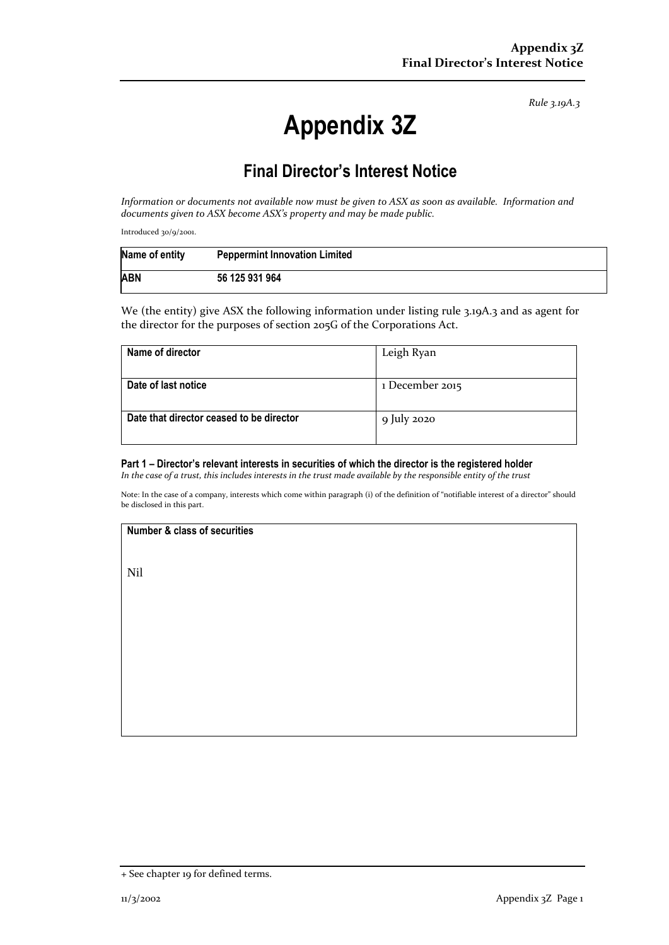*Rule 3.19A.3*

# **Appendix 3Z**

### **Final Director's Interest Notice**

*Information or documents not available now must be given to ASX as soon as available. Information and documents given to ASX become ASX's property and may be made public.*

Introduced 30/9/2001.

| Name of entity | <b>Peppermint Innovation Limited</b> |
|----------------|--------------------------------------|
| <b>ABN</b>     | 56 125 931 964                       |

We (the entity) give ASX the following information under listing rule 3.19A.3 and as agent for the director for the purposes of section 205G of the Corporations Act.

| Name of director                         | Leigh Ryan      |
|------------------------------------------|-----------------|
| Date of last notice                      | 1 December 2015 |
| Date that director ceased to be director | 9 July 2020     |

#### **Part 1 – Director's relevant interests in securities of which the director is the registered holder**

*In the case of a trust, this includes interests in the trust made available by the responsible entity of the trust*

Note: In the case of a company, interests which come within paragraph (i) of the definition of "notifiable interest of a director" should be disclosed in this part.

#### **Number & class of securities**

Nil

<sup>+</sup> See chapter 19 for defined terms.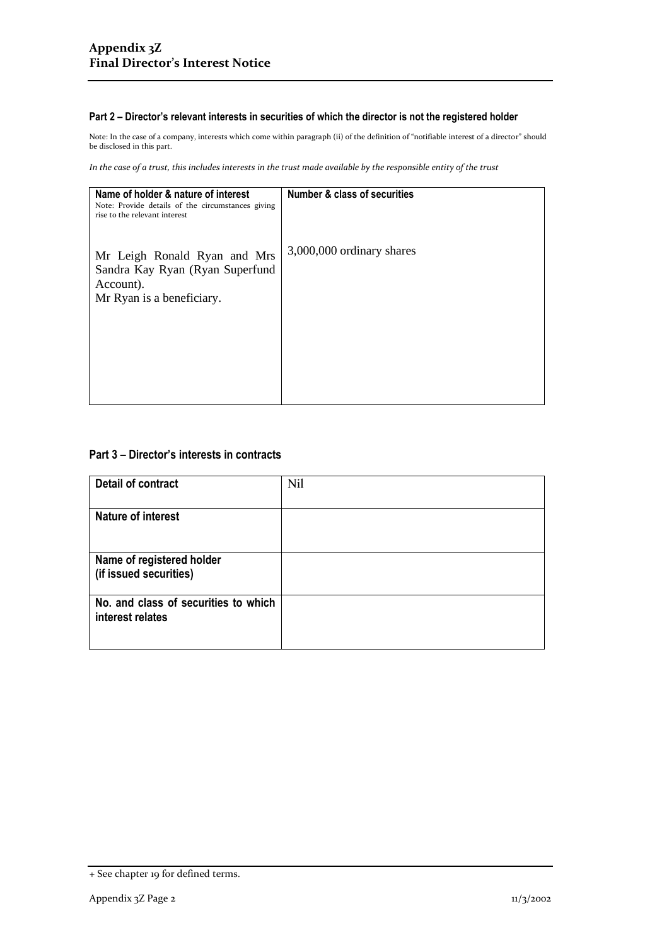#### **Part 2 – Director's relevant interests in securities of which the director is not the registered holder**

Note: In the case of a company, interests which come within paragraph (ii) of the definition of "notifiable interest of a director" should be disclosed in this part.

*In the case of a trust, this includes interests in the trust made available by the responsible entity of the trust*

| Name of holder & nature of interest<br>Note: Provide details of the circumstances giving<br>rise to the relevant interest | <b>Number &amp; class of securities</b> |
|---------------------------------------------------------------------------------------------------------------------------|-----------------------------------------|
| Mr Leigh Ronald Ryan and Mrs<br>Sandra Kay Ryan (Ryan Superfund<br>Account).<br>Mr Ryan is a beneficiary.                 | 3,000,000 ordinary shares               |
|                                                                                                                           |                                         |
|                                                                                                                           |                                         |

#### **Part 3 – Director's interests in contracts**

| <b>Detail of contract</b>                                | Nil |
|----------------------------------------------------------|-----|
| <b>Nature of interest</b>                                |     |
| Name of registered holder<br>(if issued securities)      |     |
| No. and class of securities to which<br>interest relates |     |

<sup>+</sup> See chapter 19 for defined terms.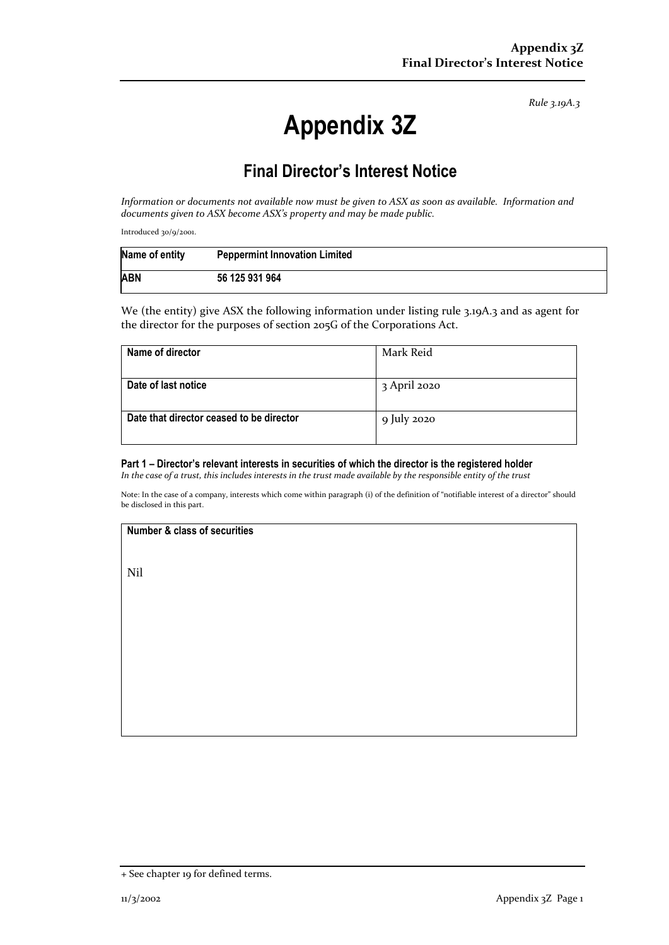*Rule 3.19A.3*

# **Appendix 3Z**

## **Final Director's Interest Notice**

*Information or documents not available now must be given to ASX as soon as available. Information and documents given to ASX become ASX's property and may be made public.*

Introduced 30/9/2001.

| Name of entity | <b>Peppermint Innovation Limited</b> |
|----------------|--------------------------------------|
| <b>ABN</b>     | 56 125 931 964                       |

We (the entity) give ASX the following information under listing rule 3.19A.3 and as agent for the director for the purposes of section 205G of the Corporations Act.

| Name of director                         | Mark Reid    |
|------------------------------------------|--------------|
| Date of last notice                      | 3 April 2020 |
| Date that director ceased to be director | 9 July 2020  |

#### **Part 1 – Director's relevant interests in securities of which the director is the registered holder**

*In the case of a trust, this includes interests in the trust made available by the responsible entity of the trust*

Note: In the case of a company, interests which come within paragraph (i) of the definition of "notifiable interest of a director" should be disclosed in this part.

#### **Number & class of securities**

Nil

<sup>+</sup> See chapter 19 for defined terms.